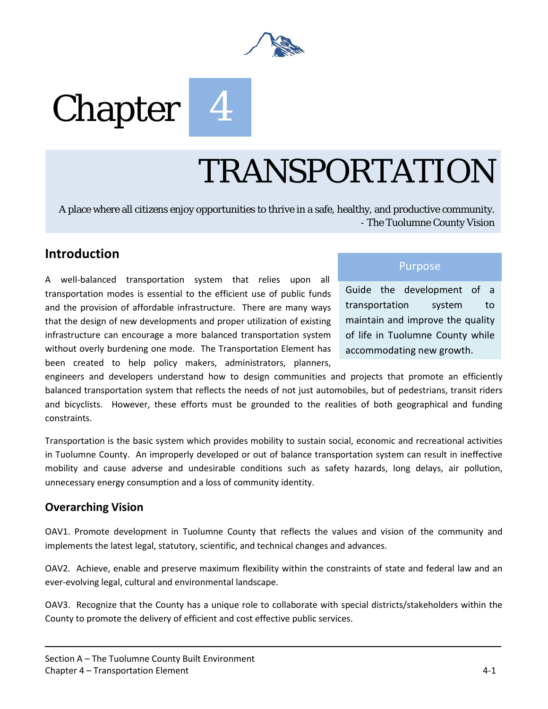

# Chapter



# TRANSPORTATION

A place where all citizens enjoy opportunities to thrive in a safe, healthy, and productive community. - The Tuolumne County Vision

## **Introduction**

A well-balanced transportation system that relies upon all transportation modes is essential to the efficient use of public funds and the provision of affordable infrastructure. There are many ways that the design of new developments and proper utilization of existing infrastructure can encourage a more balanced transportation system without overly burdening one mode. The Transportation Element has been created to help policy makers, administrators, planners,

### Purpose

Guide the development of a transportation system to maintain and improve the quality of life in Tuolumne County while accommodating new growth.

engineers and developers understand how to design communities and projects that promote an efficiently balanced transportation system that reflects the needs of not just automobiles, but of pedestrians, transit riders and bicyclists. However, these efforts must be grounded to the realities of both geographical and funding constraints.

Transportation is the basic system which provides mobility to sustain social, economic and recreational activities in Tuolumne County. An improperly developed or out of balance transportation system can result in ineffective mobility and cause adverse and undesirable conditions such as safety hazards, long delays, air pollution, unnecessary energy consumption and a loss of community identity.

### **Overarching Vision**

OAV1. Promote development in Tuolumne County that reflects the values and vision of the community and implements the latest legal, statutory, scientific, and technical changes and advances.

OAV2. Achieve, enable and preserve maximum flexibility within the constraints of state and federal law and an ever-evolving legal, cultural and environmental landscape.

OAV3. Recognize that the County has a unique role to collaborate with special districts/stakeholders within the County to promote the delivery of efficient and cost effective public services.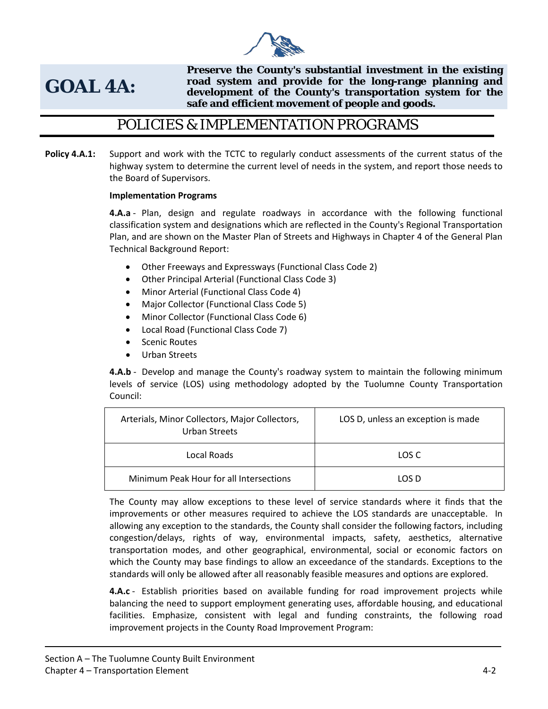

# **GOAL 4A:**

**Preserve the County's substantial investment in the existing road system and provide for the long-range planning and development of the County's transportation system for the safe and efficient movement of people and goods.**

# POLICIES & IMPLEMENTATION PROGRAMS

**Policy 4.A.1:** Support and work with the TCTC to regularly conduct assessments of the current status of the highway system to determine the current level of needs in the system, and report those needs to the Board of Supervisors.

#### **Implementation Programs**

**4.A.a** - Plan, design and regulate roadways in accordance with the following functional classification system and designations which are reflected in the County's Regional Transportation Plan, and are shown on the Master Plan of Streets and Highways in Chapter 4 of the General Plan Technical Background Report:

- Other Freeways and Expressways (Functional Class Code 2)
- Other Principal Arterial (Functional Class Code 3)
- Minor Arterial (Functional Class Code 4)
- Major Collector (Functional Class Code 5)
- Minor Collector (Functional Class Code 6)
- Local Road (Functional Class Code 7)
- Scenic Routes
- Urban Streets

**4.A.b** - Develop and manage the County's roadway system to maintain the following minimum levels of service (LOS) using methodology adopted by the Tuolumne County Transportation Council:

| Arterials, Minor Collectors, Major Collectors,<br>Urban Streets | LOS D, unless an exception is made |
|-----------------------------------------------------------------|------------------------------------|
| Local Roads                                                     | LOS C                              |
| Minimum Peak Hour for all Intersections                         | LOS D                              |

The County may allow exceptions to these level of service standards where it finds that the improvements or other measures required to achieve the LOS standards are unacceptable. In allowing any exception to the standards, the County shall consider the following factors, including congestion/delays, rights of way, environmental impacts, safety, aesthetics, alternative transportation modes, and other geographical, environmental, social or economic factors on which the County may base findings to allow an exceedance of the standards. Exceptions to the standards will only be allowed after all reasonably feasible measures and options are explored.

**4.A.c** - Establish priorities based on available funding for road improvement projects while balancing the need to support employment generating uses, affordable housing, and educational facilities. Emphasize, consistent with legal and funding constraints, the following road improvement projects in the County Road Improvement Program: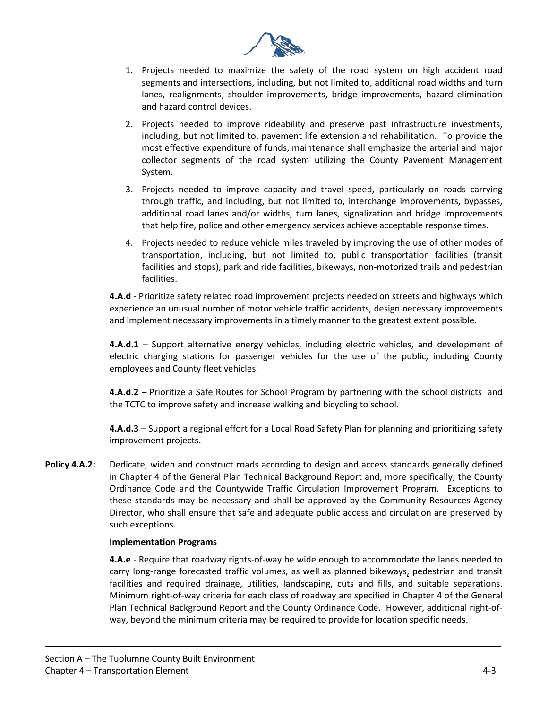

- 1. Projects needed to maximize the safety of the road system on high accident road segments and intersections, including, but not limited to, additional road widths and turn lanes, realignments, shoulder improvements, bridge improvements, hazard elimination and hazard control devices.
- 2. Projects needed to improve rideability and preserve past infrastructure investments, including, but not limited to, pavement life extension and rehabilitation. To provide the most effective expenditure of funds, maintenance shall emphasize the arterial and major collector segments of the road system utilizing the County Pavement Management System.
- 3. Projects needed to improve capacity and travel speed, particularly on roads carrying through traffic, and including, but not limited to, interchange improvements, bypasses, additional road lanes and/or widths, turn lanes, signalization and bridge improvements that help fire, police and other emergency services achieve acceptable response times.
- 4. Projects needed to reduce vehicle miles traveled by improving the use of other modes of transportation, including, but not limited to, public transportation facilities (transit facilities and stops), park and ride facilities, bikeways, non-motorized trails and pedestrian facilities.

**4.A.d** - Prioritize safety related road improvement projects needed on streets and highways which experience an unusual number of motor vehicle traffic accidents, design necessary improvements and implement necessary improvements in a timely manner to the greatest extent possible.

**4.A.d.1** – Support alternative energy vehicles, including electric vehicles, and development of electric charging stations for passenger vehicles for the use of the public, including County employees and County fleet vehicles.

**4.A.d.2** – Prioritize a Safe Routes for School Program by partnering with the school districts and the TCTC to improve safety and increase walking and bicycling to school.

**4.A.d.3** – Support a regional effort for a Local Road Safety Plan for planning and prioritizing safety improvement projects.

**Policy 4.A.2:** Dedicate, widen and construct roads according to design and access standards generally defined in Chapter 4 of the General Plan Technical Background Report and, more specifically, the County Ordinance Code and the Countywide Traffic Circulation Improvement Program. Exceptions to these standards may be necessary and shall be approved by the Community Resources Agency Director, who shall ensure that safe and adequate public access and circulation are preserved by such exceptions.

#### **Implementation Programs**

**4.A.e** - Require that roadway rights-of-way be wide enough to accommodate the lanes needed to carry long-range forecasted traffic volumes, as well as planned bikeways, pedestrian and transit facilities and required drainage, utilities, landscaping, cuts and fills, and suitable separations. Minimum right-of-way criteria for each class of roadway are specified in Chapter 4 of the General Plan Technical Background Report and the County Ordinance Code. However, additional right-ofway, beyond the minimum criteria may be required to provide for location specific needs.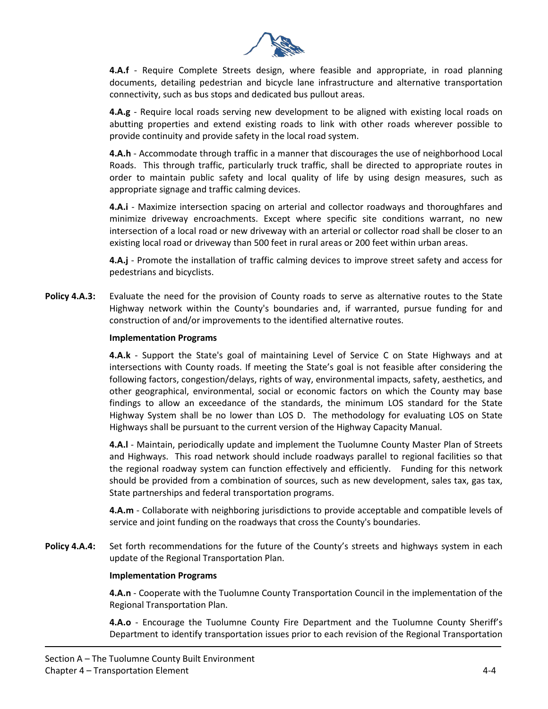

**4.A.f** - Require Complete Streets design, where feasible and appropriate, in road planning documents, detailing pedestrian and bicycle lane infrastructure and alternative transportation connectivity, such as bus stops and dedicated bus pullout areas.

**4.A.g** - Require local roads serving new development to be aligned with existing local roads on abutting properties and extend existing roads to link with other roads wherever possible to provide continuity and provide safety in the local road system.

**4.A.h** - Accommodate through traffic in a manner that discourages the use of neighborhood Local Roads. This through traffic, particularly truck traffic, shall be directed to appropriate routes in order to maintain public safety and local quality of life by using design measures, such as appropriate signage and traffic calming devices.

**4.A.i** - Maximize intersection spacing on arterial and collector roadways and thoroughfares and minimize driveway encroachments. Except where specific site conditions warrant, no new intersection of a local road or new driveway with an arterial or collector road shall be closer to an existing local road or driveway than 500 feet in rural areas or 200 feet within urban areas.

**4.A.j** - Promote the installation of traffic calming devices to improve street safety and access for pedestrians and bicyclists.

**Policy 4.A.3:** Evaluate the need for the provision of County roads to serve as alternative routes to the State Highway network within the County's boundaries and, if warranted, pursue funding for and construction of and/or improvements to the identified alternative routes.

#### **Implementation Programs**

**4.A.k** - Support the State's goal of maintaining Level of Service C on State Highways and at intersections with County roads. If meeting the State's goal is not feasible after considering the following factors, congestion/delays, rights of way, environmental impacts, safety, aesthetics, and other geographical, environmental, social or economic factors on which the County may base findings to allow an exceedance of the standards, the minimum LOS standard for the State Highway System shall be no lower than LOS D. The methodology for evaluating LOS on State Highways shall be pursuant to the current version of the Highway Capacity Manual.

**4.A.l** - Maintain, periodically update and implement the Tuolumne County Master Plan of Streets and Highways. This road network should include roadways parallel to regional facilities so that the regional roadway system can function effectively and efficiently. Funding for this network should be provided from a combination of sources, such as new development, sales tax, gas tax, State partnerships and federal transportation programs.

**4.A.m** - Collaborate with neighboring jurisdictions to provide acceptable and compatible levels of service and joint funding on the roadways that cross the County's boundaries.

Policy 4.A.4: Set forth recommendations for the future of the County's streets and highways system in each update of the Regional Transportation Plan.

#### **Implementation Programs**

**4.A.n** - Cooperate with the Tuolumne County Transportation Council in the implementation of the Regional Transportation Plan.

**4.A.o** - Encourage the Tuolumne County Fire Department and the Tuolumne County Sheriff's Department to identify transportation issues prior to each revision of the Regional Transportation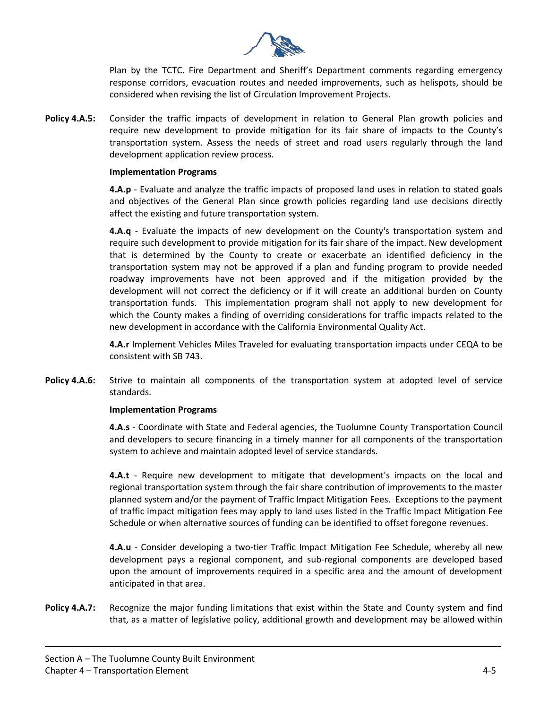

Plan by the TCTC. Fire Department and Sheriff's Department comments regarding emergency response corridors, evacuation routes and needed improvements, such as helispots, should be considered when revising the list of Circulation Improvement Projects.

**Policy 4.A.5:** Consider the traffic impacts of development in relation to General Plan growth policies and require new development to provide mitigation for its fair share of impacts to the County's transportation system. Assess the needs of street and road users regularly through the land development application review process.

#### **Implementation Programs**

**4.A.p** - Evaluate and analyze the traffic impacts of proposed land uses in relation to stated goals and objectives of the General Plan since growth policies regarding land use decisions directly affect the existing and future transportation system.

**4.A.q** - Evaluate the impacts of new development on the County's transportation system and require such development to provide mitigation for its fair share of the impact. New development that is determined by the County to create or exacerbate an identified deficiency in the transportation system may not be approved if a plan and funding program to provide needed roadway improvements have not been approved and if the mitigation provided by the development will not correct the deficiency or if it will create an additional burden on County transportation funds. This implementation program shall not apply to new development for which the County makes a finding of overriding considerations for traffic impacts related to the new development in accordance with the California Environmental Quality Act.

**4.A.r** Implement Vehicles Miles Traveled for evaluating transportation impacts under CEQA to be consistent with SB 743.

**Policy 4.A.6:** Strive to maintain all components of the transportation system at adopted level of service standards.

#### **Implementation Programs**

**4.A.s** - Coordinate with State and Federal agencies, the Tuolumne County Transportation Council and developers to secure financing in a timely manner for all components of the transportation system to achieve and maintain adopted level of service standards.

**4.A.t** - Require new development to mitigate that development's impacts on the local and regional transportation system through the fair share contribution of improvements to the master planned system and/or the payment of Traffic Impact Mitigation Fees. Exceptions to the payment of traffic impact mitigation fees may apply to land uses listed in the Traffic Impact Mitigation Fee Schedule or when alternative sources of funding can be identified to offset foregone revenues.

**4.A.u** - Consider developing a two-tier Traffic Impact Mitigation Fee Schedule, whereby all new development pays a regional component, and sub-regional components are developed based upon the amount of improvements required in a specific area and the amount of development anticipated in that area.

**Policy 4.A.7:** Recognize the major funding limitations that exist within the State and County system and find that, as a matter of legislative policy, additional growth and development may be allowed within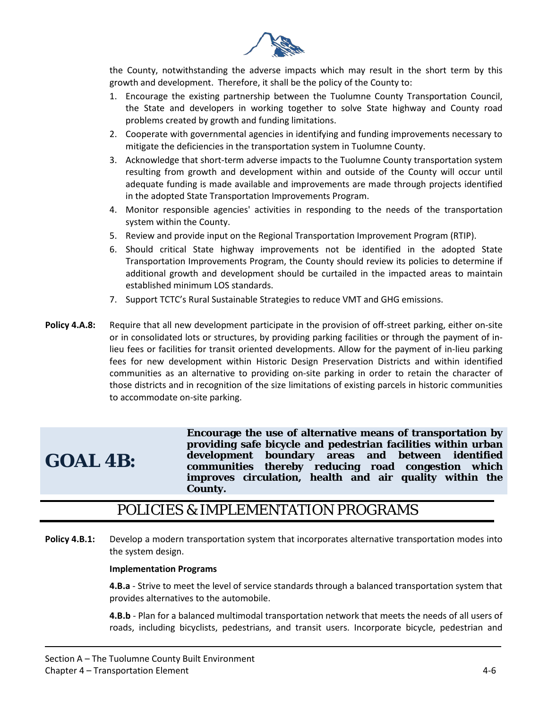

the County, notwithstanding the adverse impacts which may result in the short term by this growth and development. Therefore, it shall be the policy of the County to:

- 1. Encourage the existing partnership between the Tuolumne County Transportation Council, the State and developers in working together to solve State highway and County road problems created by growth and funding limitations.
- 2. Cooperate with governmental agencies in identifying and funding improvements necessary to mitigate the deficiencies in the transportation system in Tuolumne County.
- 3. Acknowledge that short-term adverse impacts to the Tuolumne County transportation system resulting from growth and development within and outside of the County will occur until adequate funding is made available and improvements are made through projects identified in the adopted State Transportation Improvements Program.
- 4. Monitor responsible agencies' activities in responding to the needs of the transportation system within the County.
- 5. Review and provide input on the Regional Transportation Improvement Program (RTIP).
- 6. Should critical State highway improvements not be identified in the adopted State Transportation Improvements Program, the County should review its policies to determine if additional growth and development should be curtailed in the impacted areas to maintain established minimum LOS standards.
- 7. Support TCTC's Rural Sustainable Strategies to reduce VMT and GHG emissions.
- Policy 4.A.8: Require that all new development participate in the provision of off-street parking, either on-site or in consolidated lots or structures, by providing parking facilities or through the payment of inlieu fees or facilities for transit oriented developments. Allow for the payment of in-lieu parking fees for new development within Historic Design Preservation Districts and within identified communities as an alternative to providing on-site parking in order to retain the character of those districts and in recognition of the size limitations of existing parcels in historic communities to accommodate on-site parking.

# **GOAL 4B:**

**Encourage the use of alternative means of transportation by providing safe bicycle and pedestrian facilities within urban development boundary areas and between identified communities thereby reducing road congestion which improves circulation, health and air quality within the County.** 

## POLICIES & IMPLEMENTATION PROGRAMS

**Policy 4.B.1:** Develop a modern transportation system that incorporates alternative transportation modes into the system design.

#### **Implementation Programs**

**4.B.a** - Strive to meet the level of service standards through a balanced transportation system that provides alternatives to the automobile.

**4.B.b** - Plan for a balanced multimodal transportation network that meets the needs of all users of roads, including bicyclists, pedestrians, and transit users. Incorporate bicycle, pedestrian and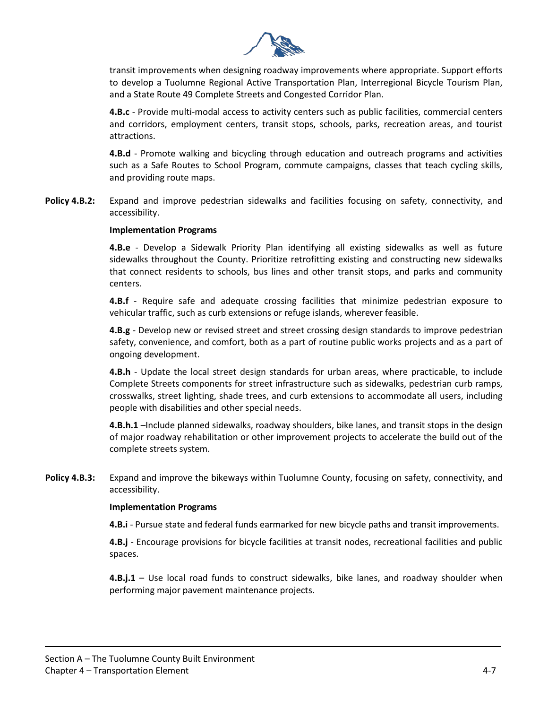

transit improvements when designing roadway improvements where appropriate. Support efforts to develop a Tuolumne Regional Active Transportation Plan, Interregional Bicycle Tourism Plan, and a State Route 49 Complete Streets and Congested Corridor Plan.

**4.B.c** - Provide multi-modal access to activity centers such as public facilities, commercial centers and corridors, employment centers, transit stops, schools, parks, recreation areas, and tourist attractions.

**4.B.d** - Promote walking and bicycling through education and outreach programs and activities such as a Safe Routes to School Program, commute campaigns, classes that teach cycling skills, and providing route maps.

**Policy 4.B.2:** Expand and improve pedestrian sidewalks and facilities focusing on safety, connectivity, and accessibility.

#### **Implementation Programs**

**4.B.e** - Develop a Sidewalk Priority Plan identifying all existing sidewalks as well as future sidewalks throughout the County. Prioritize retrofitting existing and constructing new sidewalks that connect residents to schools, bus lines and other transit stops, and parks and community centers.

**4.B.f** - Require safe and adequate crossing facilities that minimize pedestrian exposure to vehicular traffic, such as curb extensions or refuge islands, wherever feasible.

**4.B.g** - Develop new or revised street and street crossing design standards to improve pedestrian safety, convenience, and comfort, both as a part of routine public works projects and as a part of ongoing development.

**4.B.h** - Update the local street design standards for urban areas, where practicable, to include Complete Streets components for street infrastructure such as sidewalks, pedestrian curb ramps, crosswalks, street lighting, shade trees, and curb extensions to accommodate all users, including people with disabilities and other special needs.

**4.B.h.1** –Include planned sidewalks, roadway shoulders, bike lanes, and transit stops in the design of major roadway rehabilitation or other improvement projects to accelerate the build out of the complete streets system.

**Policy 4.B.3:** Expand and improve the bikeways within Tuolumne County, focusing on safety, connectivity, and accessibility.

#### **Implementation Programs**

**4.B.i** - Pursue state and federal funds earmarked for new bicycle paths and transit improvements.

**4.B.j** - Encourage provisions for bicycle facilities at transit nodes, recreational facilities and public spaces.

**4.B.j.1** – Use local road funds to construct sidewalks, bike lanes, and roadway shoulder when performing major pavement maintenance projects.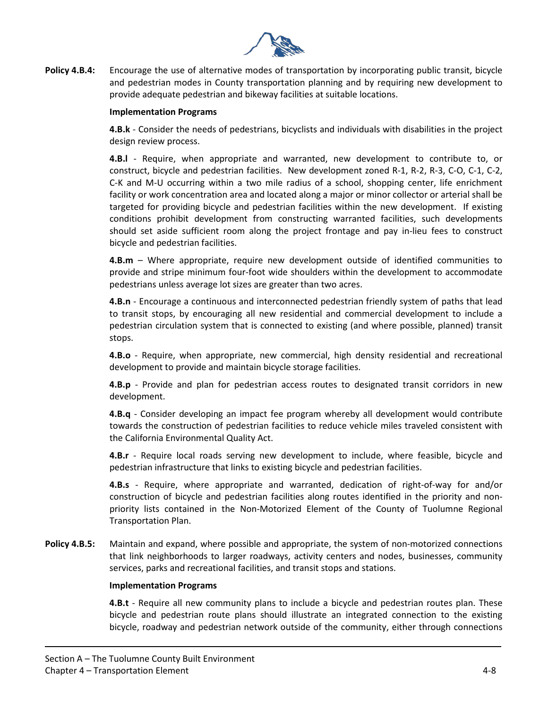

**Policy 4.B.4:** Encourage the use of alternative modes of transportation by incorporating public transit, bicycle and pedestrian modes in County transportation planning and by requiring new development to provide adequate pedestrian and bikeway facilities at suitable locations.

#### **Implementation Programs**

**4.B.k** - Consider the needs of pedestrians, bicyclists and individuals with disabilities in the project design review process.

**4.B.l** - Require, when appropriate and warranted, new development to contribute to, or construct, bicycle and pedestrian facilities. New development zoned R-1, R-2, R-3, C-O, C-1, C-2, C-K and M-U occurring within a two mile radius of a school, shopping center, life enrichment facility or work concentration area and located along a major or minor collector or arterial shall be targeted for providing bicycle and pedestrian facilities within the new development. If existing conditions prohibit development from constructing warranted facilities, such developments should set aside sufficient room along the project frontage and pay in-lieu fees to construct bicycle and pedestrian facilities.

**4.B.m** – Where appropriate, require new development outside of identified communities to provide and stripe minimum four-foot wide shoulders within the development to accommodate pedestrians unless average lot sizes are greater than two acres.

**4.B.n** - Encourage a continuous and interconnected pedestrian friendly system of paths that lead to transit stops, by encouraging all new residential and commercial development to include a pedestrian circulation system that is connected to existing (and where possible, planned) transit stops.

**4.B.o** - Require, when appropriate, new commercial, high density residential and recreational development to provide and maintain bicycle storage facilities.

**4.B.p** - Provide and plan for pedestrian access routes to designated transit corridors in new development.

**4.B.q** - Consider developing an impact fee program whereby all development would contribute towards the construction of pedestrian facilities to reduce vehicle miles traveled consistent with the California Environmental Quality Act.

**4.B.r** - Require local roads serving new development to include, where feasible, bicycle and pedestrian infrastructure that links to existing bicycle and pedestrian facilities.

**4.B.s** - Require, where appropriate and warranted, dedication of right-of-way for and/or construction of bicycle and pedestrian facilities along routes identified in the priority and nonpriority lists contained in the Non-Motorized Element of the County of Tuolumne Regional Transportation Plan.

**Policy 4.B.5:** Maintain and expand, where possible and appropriate, the system of non-motorized connections that link neighborhoods to larger roadways, activity centers and nodes, businesses, community services, parks and recreational facilities, and transit stops and stations.

#### **Implementation Programs**

**4.B.t** - Require all new community plans to include a bicycle and pedestrian routes plan. These bicycle and pedestrian route plans should illustrate an integrated connection to the existing bicycle, roadway and pedestrian network outside of the community, either through connections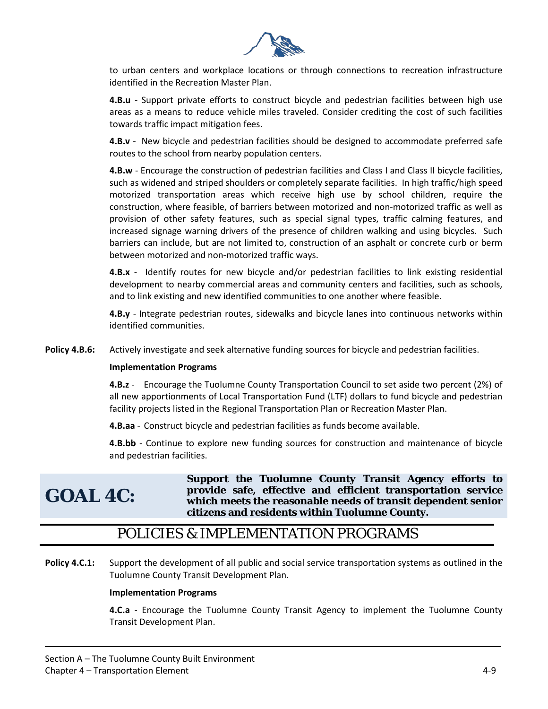

to urban centers and workplace locations or through connections to recreation infrastructure identified in the Recreation Master Plan.

**4.B.u** - Support private efforts to construct bicycle and pedestrian facilities between high use areas as a means to reduce vehicle miles traveled. Consider crediting the cost of such facilities towards traffic impact mitigation fees.

**4.B.v** - New bicycle and pedestrian facilities should be designed to accommodate preferred safe routes to the school from nearby population centers.

**4.B.w** - Encourage the construction of pedestrian facilities and Class I and Class II bicycle facilities, such as widened and striped shoulders or completely separate facilities. In high traffic/high speed motorized transportation areas which receive high use by school children, require the construction, where feasible, of barriers between motorized and non-motorized traffic as well as provision of other safety features, such as special signal types, traffic calming features, and increased signage warning drivers of the presence of children walking and using bicycles. Such barriers can include, but are not limited to, construction of an asphalt or concrete curb or berm between motorized and non-motorized traffic ways.

**4.B.x** - Identify routes for new bicycle and/or pedestrian facilities to link existing residential development to nearby commercial areas and community centers and facilities, such as schools, and to link existing and new identified communities to one another where feasible.

**4.B.y** - Integrate pedestrian routes, sidewalks and bicycle lanes into continuous networks within identified communities.

**Policy 4.B.6:** Actively investigate and seek alternative funding sources for bicycle and pedestrian facilities.

#### **Implementation Programs**

**4.B.z** - Encourage the Tuolumne County Transportation Council to set aside two percent (2%) of all new apportionments of Local Transportation Fund (LTF) dollars to fund bicycle and pedestrian facility projects listed in the Regional Transportation Plan or Recreation Master Plan.

**4.B.aa** - Construct bicycle and pedestrian facilities as funds become available.

**4.B.bb** - Continue to explore new funding sources for construction and maintenance of bicycle and pedestrian facilities.

# **GOAL 4C:**

**Support the Tuolumne County Transit Agency efforts to provide safe, effective and efficient transportation service which meets the reasonable needs of transit dependent senior citizens and residents within Tuolumne County.** 

# POLICIES & IMPLEMENTATION PROGRAMS

**Policy 4.C.1:** Support the development of all public and social service transportation systems as outlined in the Tuolumne County Transit Development Plan.

#### **Implementation Programs**

**4.C.a** - Encourage the Tuolumne County Transit Agency to implement the Tuolumne County Transit Development Plan.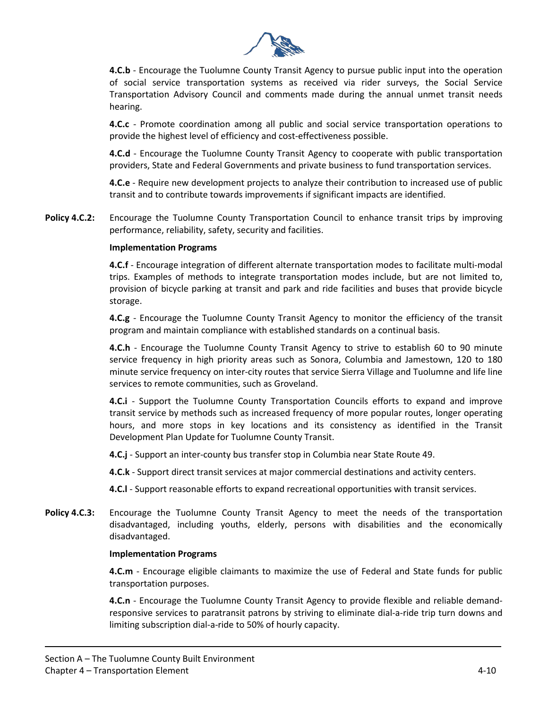

**4.C.b** - Encourage the Tuolumne County Transit Agency to pursue public input into the operation of social service transportation systems as received via rider surveys, the Social Service Transportation Advisory Council and comments made during the annual unmet transit needs hearing.

**4.C.c** - Promote coordination among all public and social service transportation operations to provide the highest level of efficiency and cost-effectiveness possible.

**4.C.d** - Encourage the Tuolumne County Transit Agency to cooperate with public transportation providers, State and Federal Governments and private business to fund transportation services.

**4.C.e** - Require new development projects to analyze their contribution to increased use of public transit and to contribute towards improvements if significant impacts are identified.

**Policy 4.C.2:** Encourage the Tuolumne County Transportation Council to enhance transit trips by improving performance, reliability, safety, security and facilities.

#### **Implementation Programs**

**4.C.f** - Encourage integration of different alternate transportation modes to facilitate multi-modal trips. Examples of methods to integrate transportation modes include, but are not limited to, provision of bicycle parking at transit and park and ride facilities and buses that provide bicycle storage.

**4.C.g** - Encourage the Tuolumne County Transit Agency to monitor the efficiency of the transit program and maintain compliance with established standards on a continual basis.

**4.C.h** - Encourage the Tuolumne County Transit Agency to strive to establish 60 to 90 minute service frequency in high priority areas such as Sonora, Columbia and Jamestown, 120 to 180 minute service frequency on inter-city routes that service Sierra Village and Tuolumne and life line services to remote communities, such as Groveland.

**4.C.i** - Support the Tuolumne County Transportation Councils efforts to expand and improve transit service by methods such as increased frequency of more popular routes, longer operating hours, and more stops in key locations and its consistency as identified in the Transit Development Plan Update for Tuolumne County Transit.

**4.C.j** - Support an inter-county bus transfer stop in Columbia near State Route 49.

**4.C.k** - Support direct transit services at major commercial destinations and activity centers.

**4.C.l** - Support reasonable efforts to expand recreational opportunities with transit services.

**Policy 4.C.3:** Encourage the Tuolumne County Transit Agency to meet the needs of the transportation disadvantaged, including youths, elderly, persons with disabilities and the economically disadvantaged.

#### **Implementation Programs**

**4.C.m** - Encourage eligible claimants to maximize the use of Federal and State funds for public transportation purposes.

**4.C.n** - Encourage the Tuolumne County Transit Agency to provide flexible and reliable demandresponsive services to paratransit patrons by striving to eliminate dial-a-ride trip turn downs and limiting subscription dial-a-ride to 50% of hourly capacity.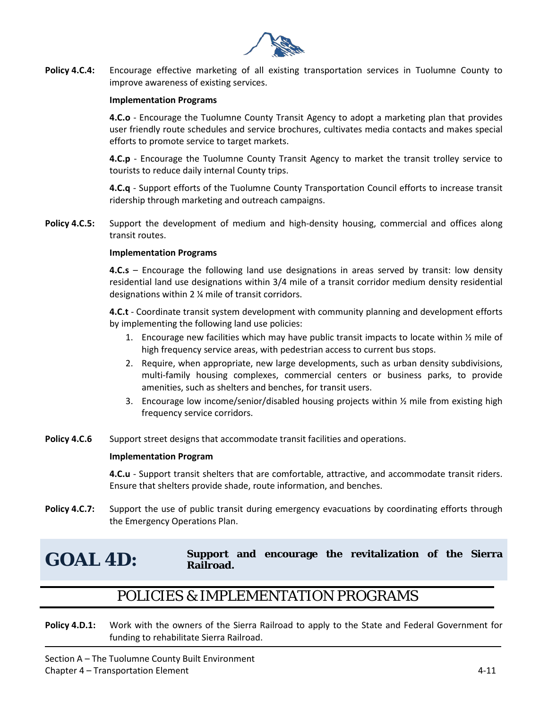

**Policy 4.C.4:** Encourage effective marketing of all existing transportation services in Tuolumne County to improve awareness of existing services.

#### **Implementation Programs**

**4.C.o** - Encourage the Tuolumne County Transit Agency to adopt a marketing plan that provides user friendly route schedules and service brochures, cultivates media contacts and makes special efforts to promote service to target markets.

**4.C.p** - Encourage the Tuolumne County Transit Agency to market the transit trolley service to tourists to reduce daily internal County trips.

**4.C.q** - Support efforts of the Tuolumne County Transportation Council efforts to increase transit ridership through marketing and outreach campaigns.

**Policy 4.C.5:** Support the development of medium and high-density housing, commercial and offices along transit routes.

#### **Implementation Programs**

**4.C.s** – Encourage the following land use designations in areas served by transit: low density residential land use designations within 3/4 mile of a transit corridor medium density residential designations within 2 ¼ mile of transit corridors.

**4.C.t** - Coordinate transit system development with community planning and development efforts by implementing the following land use policies:

- 1. Encourage new facilities which may have public transit impacts to locate within  $\frac{1}{2}$  mile of high frequency service areas, with pedestrian access to current bus stops.
- 2. Require, when appropriate, new large developments, such as urban density subdivisions, multi-family housing complexes, commercial centers or business parks, to provide amenities, such as shelters and benches, for transit users.
- 3. Encourage low income/senior/disabled housing projects within ½ mile from existing high frequency service corridors.
- **Policy 4.C.6** Support street designs that accommodate transit facilities and operations.

#### **Implementation Program**

**4.C.u** - Support transit shelters that are comfortable, attractive, and accommodate transit riders. Ensure that shelters provide shade, route information, and benches.

Policy 4.C.7: Support the use of public transit during emergency evacuations by coordinating efforts through the Emergency Operations Plan.

#### **GOAL 4D: Support and encourage the revitalization of the Sierra Railroad.**

## POLICIES & IMPLEMENTATION PROGRAMS

**Policy 4.D.1:** Work with the owners of the Sierra Railroad to apply to the State and Federal Government for funding to rehabilitate Sierra Railroad.

Section A – The Tuolumne County Built Environment Chapter 4 – Transportation Element 4-11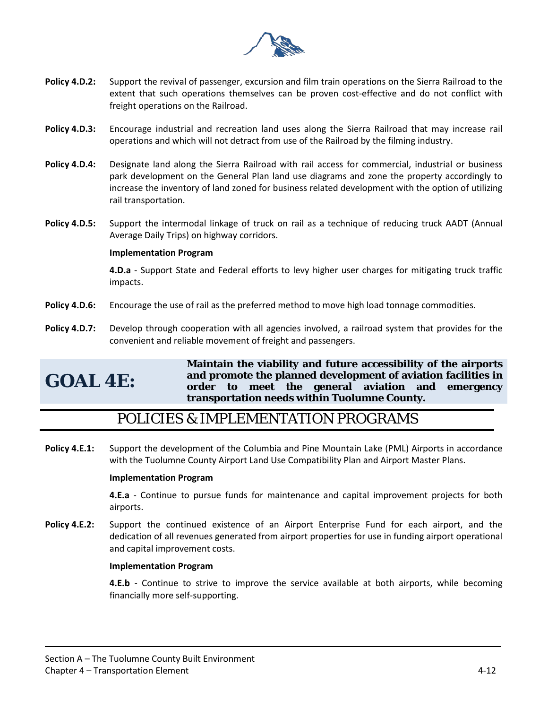

- **Policy 4.D.2:** Support the revival of passenger, excursion and film train operations on the Sierra Railroad to the extent that such operations themselves can be proven cost-effective and do not conflict with freight operations on the Railroad.
- **Policy 4.D.3:** Encourage industrial and recreation land uses along the Sierra Railroad that may increase rail operations and which will not detract from use of the Railroad by the filming industry.
- **Policy 4.D.4:** Designate land along the Sierra Railroad with rail access for commercial, industrial or business park development on the General Plan land use diagrams and zone the property accordingly to increase the inventory of land zoned for business related development with the option of utilizing rail transportation.
- **Policy 4.D.5:** Support the intermodal linkage of truck on rail as a technique of reducing truck AADT (Annual Average Daily Trips) on highway corridors.

#### **Implementation Program**

**4.D.a** - Support State and Federal efforts to levy higher user charges for mitigating truck traffic impacts.

- **Policy 4.D.6:** Encourage the use of rail as the preferred method to move high load tonnage commodities.
- **Policy 4.D.7:** Develop through cooperation with all agencies involved, a railroad system that provides for the convenient and reliable movement of freight and passengers.

# **GOAL 4E:**

**Maintain the viability and future accessibility of the airports and promote the planned development of aviation facilities in order to meet the general aviation and emergency transportation needs within Tuolumne County.**

# POLICIES & IMPLEMENTATION PROGRAMS

**Policy 4.E.1:** Support the development of the Columbia and Pine Mountain Lake (PML) Airports in accordance with the Tuolumne County Airport Land Use Compatibility Plan and Airport Master Plans.

#### **Implementation Program**

**4.E.a** - Continue to pursue funds for maintenance and capital improvement projects for both airports.

**Policy 4.E.2:** Support the continued existence of an Airport Enterprise Fund for each airport, and the dedication of all revenues generated from airport properties for use in funding airport operational and capital improvement costs.

#### **Implementation Program**

**4.E.b** - Continue to strive to improve the service available at both airports, while becoming financially more self-supporting.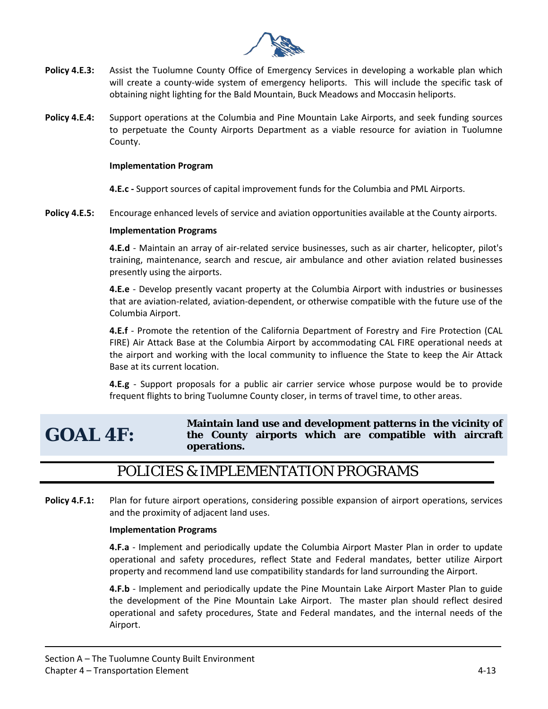

- **Policy 4.E.3:** Assist the Tuolumne County Office of Emergency Services in developing a workable plan which will create a county-wide system of emergency heliports. This will include the specific task of obtaining night lighting for the Bald Mountain, Buck Meadows and Moccasin heliports.
- **Policy 4.E.4:** Support operations at the Columbia and Pine Mountain Lake Airports, and seek funding sources to perpetuate the County Airports Department as a viable resource for aviation in Tuolumne County.

#### **Implementation Program**

**4.E.c -** Support sources of capital improvement funds for the Columbia and PML Airports.

**Policy 4.E.5:** Encourage enhanced levels of service and aviation opportunities available at the County airports.

#### **Implementation Programs**

**4.E.d** - Maintain an array of air-related service businesses, such as air charter, helicopter, pilot's training, maintenance, search and rescue, air ambulance and other aviation related businesses presently using the airports.

**4.E.e** - Develop presently vacant property at the Columbia Airport with industries or businesses that are aviation-related, aviation-dependent, or otherwise compatible with the future use of the Columbia Airport.

**4.E.f** - Promote the retention of the California Department of Forestry and Fire Protection (CAL FIRE) Air Attack Base at the Columbia Airport by accommodating CAL FIRE operational needs at the airport and working with the local community to influence the State to keep the Air Attack Base at its current location.

**4.E.g** - Support proposals for a public air carrier service whose purpose would be to provide frequent flights to bring Tuolumne County closer, in terms of travel time, to other areas.

# **GOAL 4F:**

#### **Maintain land use and development patterns in the vicinity of the County airports which are compatible with aircraft operations.**

# POLICIES & IMPLEMENTATION PROGRAMS

**Policy 4.F.1:** Plan for future airport operations, considering possible expansion of airport operations, services and the proximity of adjacent land uses.

#### **Implementation Programs**

**4.F.a** - Implement and periodically update the Columbia Airport Master Plan in order to update operational and safety procedures, reflect State and Federal mandates, better utilize Airport property and recommend land use compatibility standards for land surrounding the Airport.

**4.F.b** - Implement and periodically update the Pine Mountain Lake Airport Master Plan to guide the development of the Pine Mountain Lake Airport. The master plan should reflect desired operational and safety procedures, State and Federal mandates, and the internal needs of the Airport.